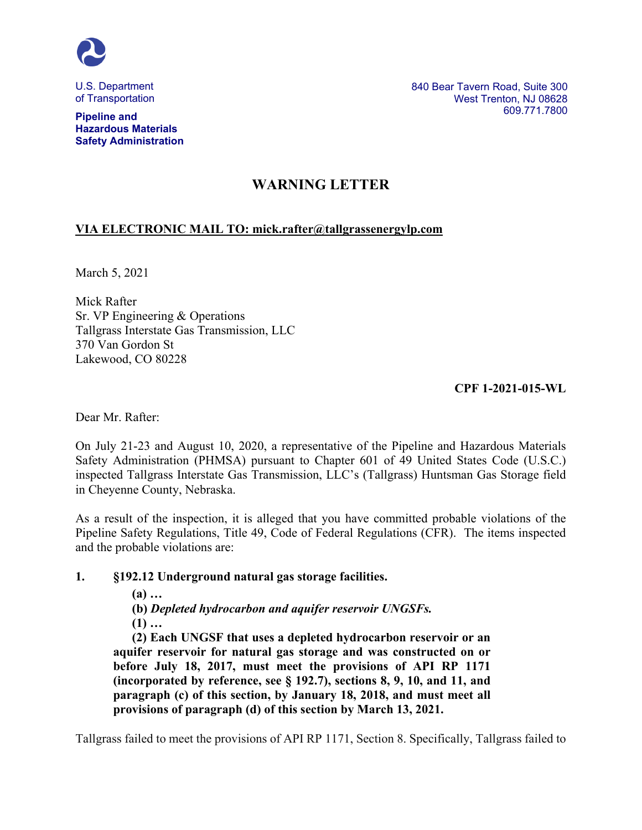

U.S. Department of Transportation

**Pipeline and Hazardous Materials Safety Administration** 840 Bear Tavern Road, Suite 300 West Trenton, NJ 08628 609.771.7800

# **WARNING LETTER**

# **VIA ELECTRONIC MAIL TO: mick.rafter@tallgrassenergylp.com**

March 5, 2021

Mick Rafter Sr. VP Engineering & Operations Tallgrass Interstate Gas Transmission, LLC 370 Van Gordon St Lakewood, CO 80228

**CPF 1-2021-015-WL**

Dear Mr. Rafter:

On July 21-23 and August 10, 2020, a representative of the Pipeline and Hazardous Materials Safety Administration (PHMSA) pursuant to Chapter 601 of 49 United States Code (U.S.C.) inspected Tallgrass Interstate Gas Transmission, LLC's (Tallgrass) Huntsman Gas Storage field in Cheyenne County, Nebraska.

As a result of the inspection, it is alleged that you have committed probable violations of the Pipeline Safety Regulations, Title 49, Code of Federal Regulations (CFR). The items inspected and the probable violations are:

#### **1. §192.12 Underground natural gas storage facilities.**

**(a) …**

**(b)** *Depleted hydrocarbon and aquifer reservoir UNGSFs.*

**(1) …**

**(2) Each UNGSF that uses a depleted hydrocarbon reservoir or an aquifer reservoir for natural gas storage and was constructed on or before July 18, 2017, must meet the provisions of API RP 1171 (incorporated by reference, see § 192.7), sections 8, 9, 10, and 11, and paragraph (c) of this section, by January 18, 2018, and must meet all provisions of paragraph (d) of this section by March 13, 2021.**

Tallgrass failed to meet the provisions of API RP 1171, Section 8. Specifically, Tallgrass failed to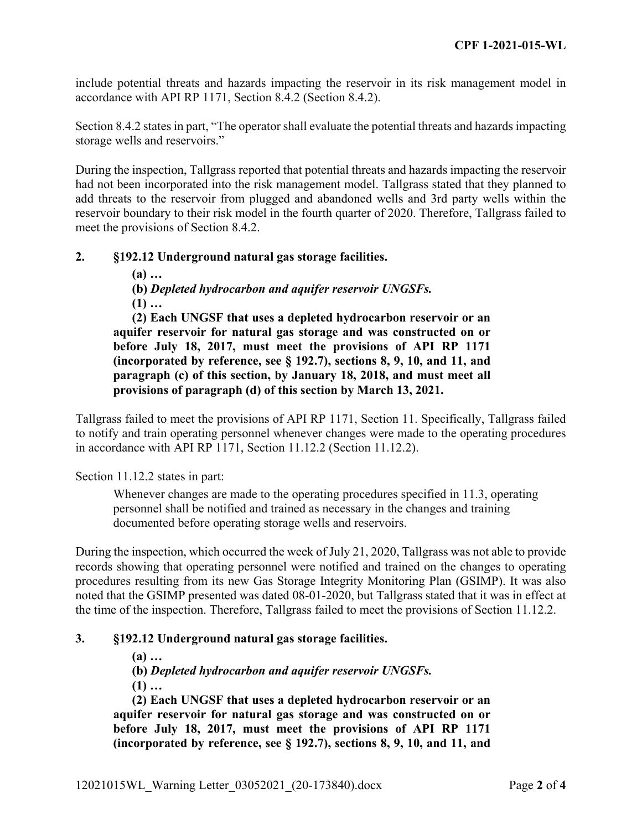include potential threats and hazards impacting the reservoir in its risk management model in accordance with API RP 1171, Section 8.4.2 (Section 8.4.2).

Section 8.4.2 states in part, "The operator shall evaluate the potential threats and hazards impacting storage wells and reservoirs."

During the inspection, Tallgrass reported that potential threats and hazards impacting the reservoir had not been incorporated into the risk management model. Tallgrass stated that they planned to add threats to the reservoir from plugged and abandoned wells and 3rd party wells within the reservoir boundary to their risk model in the fourth quarter of 2020. Therefore, Tallgrass failed to meet the provisions of Section 8.4.2.

## **2. §192.12 Underground natural gas storage facilities.**

**(a) …**

**(b)** *Depleted hydrocarbon and aquifer reservoir UNGSFs.* **(1) …**

**(2) Each UNGSF that uses a depleted hydrocarbon reservoir or an aquifer reservoir for natural gas storage and was constructed on or before July 18, 2017, must meet the provisions of API RP 1171 (incorporated by reference, see § 192.7), sections 8, 9, 10, and 11, and paragraph (c) of this section, by January 18, 2018, and must meet all provisions of paragraph (d) of this section by March 13, 2021.**

Tallgrass failed to meet the provisions of API RP 1171, Section 11. Specifically, Tallgrass failed to notify and train operating personnel whenever changes were made to the operating procedures in accordance with API RP 1171, Section 11.12.2 (Section 11.12.2).

Section 11.12.2 states in part:

Whenever changes are made to the operating procedures specified in 11.3, operating personnel shall be notified and trained as necessary in the changes and training documented before operating storage wells and reservoirs.

During the inspection, which occurred the week of July 21, 2020, Tallgrass was not able to provide records showing that operating personnel were notified and trained on the changes to operating procedures resulting from its new Gas Storage Integrity Monitoring Plan (GSIMP). It was also noted that the GSIMP presented was dated 08-01-2020, but Tallgrass stated that it was in effect at the time of the inspection. Therefore, Tallgrass failed to meet the provisions of Section 11.12.2.

#### **3. §192.12 Underground natural gas storage facilities.**

**(a) …**

**(b)** *Depleted hydrocarbon and aquifer reservoir UNGSFs.*

**(1) …**

**(2) Each UNGSF that uses a depleted hydrocarbon reservoir or an aquifer reservoir for natural gas storage and was constructed on or before July 18, 2017, must meet the provisions of API RP 1171 (incorporated by reference, see § 192.7), sections 8, 9, 10, and 11, and**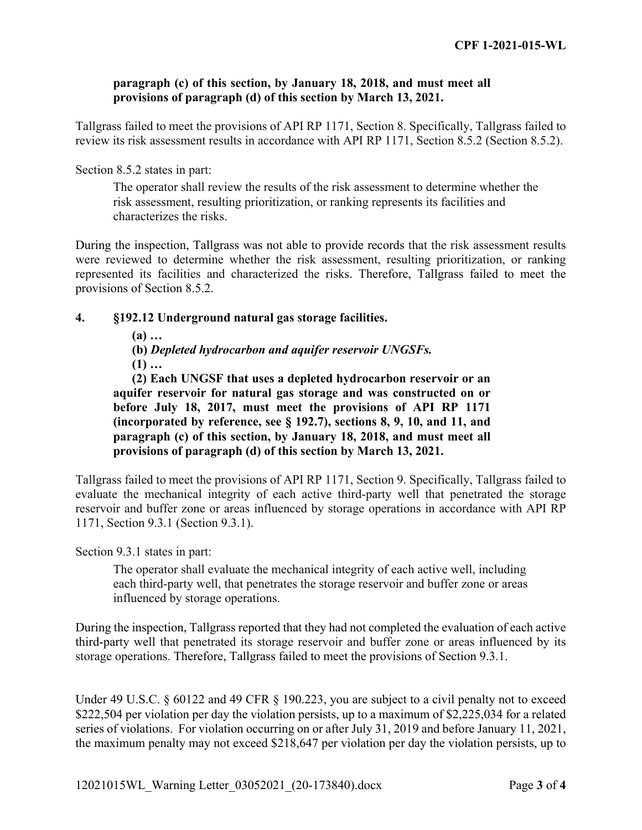#### **paragraph (c) of this section, by January 18, 2018, and must meet all provisions of paragraph (d) of this section by March 13, 2021.**

Tallgrass failed to meet the provisions of API RP 1171, Section 8. Specifically, Tallgrass failed to review its risk assessment results in accordance with API RP 1171, Section 8.5.2 (Section 8.5.2).

#### Section 8.5.2 states in part:

The operator shall review the results of the risk assessment to determine whether the risk assessment, resulting prioritization, or ranking represents its facilities and characterizes the risks.

During the inspection, Tallgrass was not able to provide records that the risk assessment results were reviewed to determine whether the risk assessment, resulting prioritization, or ranking represented its facilities and characterized the risks. Therefore, Tallgrass failed to meet the provisions of Section 8.5.2.

## **4. §192.12 Underground natural gas storage facilities.**

**(a) …**

**(b)** *Depleted hydrocarbon and aquifer reservoir UNGSFs.* **(1) …**

**(2) Each UNGSF that uses a depleted hydrocarbon reservoir or an aquifer reservoir for natural gas storage and was constructed on or before July 18, 2017, must meet the provisions of API RP 1171 (incorporated by reference, see § 192.7), sections 8, 9, 10, and 11, and paragraph (c) of this section, by January 18, 2018, and must meet all provisions of paragraph (d) of this section by March 13, 2021.**

Tallgrass failed to meet the provisions of API RP 1171, Section 9. Specifically, Tallgrass failed to evaluate the mechanical integrity of each active third-party well that penetrated the storage reservoir and buffer zone or areas influenced by storage operations in accordance with API RP 1171, Section 9.3.1 (Section 9.3.1).

Section 9.3.1 states in part:

The operator shall evaluate the mechanical integrity of each active well, including each third-party well, that penetrates the storage reservoir and buffer zone or areas influenced by storage operations.

During the inspection, Tallgrass reported that they had not completed the evaluation of each active third-party well that penetrated its storage reservoir and buffer zone or areas influenced by its storage operations. Therefore, Tallgrass failed to meet the provisions of Section 9.3.1.

Under 49 U.S.C. § 60122 and 49 CFR § 190.223, you are subject to a civil penalty not to exceed \$222,504 per violation per day the violation persists, up to a maximum of \$2,225,034 for a related series of violations. For violation occurring on or after July 31, 2019 and before January 11, 2021, the maximum penalty may not exceed \$218,647 per violation per day the violation persists, up to